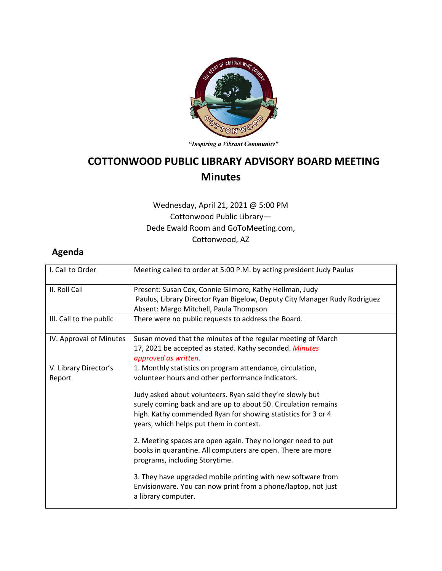

"Inspiring a Vibrant Community"

## **COTTONWOOD PUBLIC LIBRARY ADVISORY BOARD MEETING Minutes**

## Wednesday, April 21, 2021 @ 5:00 PM Cottonwood Public Library— Dede Ewald Room and GoToMeeting.com, Cottonwood, AZ

## **Agenda**

| I. Call to Order                | Meeting called to order at 5:00 P.M. by acting president Judy Paulus                                                                                                                                                                   |
|---------------------------------|----------------------------------------------------------------------------------------------------------------------------------------------------------------------------------------------------------------------------------------|
| II. Roll Call                   | Present: Susan Cox, Connie Gilmore, Kathy Hellman, Judy<br>Paulus, Library Director Ryan Bigelow, Deputy City Manager Rudy Rodriguez<br>Absent: Margo Mitchell, Paula Thompson                                                         |
| III. Call to the public         | There were no public requests to address the Board.                                                                                                                                                                                    |
| IV. Approval of Minutes         | Susan moved that the minutes of the regular meeting of March<br>17, 2021 be accepted as stated. Kathy seconded. Minutes<br>approved as written.                                                                                        |
| V. Library Director's<br>Report | 1. Monthly statistics on program attendance, circulation,<br>volunteer hours and other performance indicators.                                                                                                                         |
|                                 | Judy asked about volunteers. Ryan said they're slowly but<br>surely coming back and are up to about 50. Circulation remains<br>high. Kathy commended Ryan for showing statistics for 3 or 4<br>years, which helps put them in context. |
|                                 | 2. Meeting spaces are open again. They no longer need to put<br>books in quarantine. All computers are open. There are more<br>programs, including Storytime.                                                                          |
|                                 | 3. They have upgraded mobile printing with new software from<br>Envisionware. You can now print from a phone/laptop, not just<br>a library computer.                                                                                   |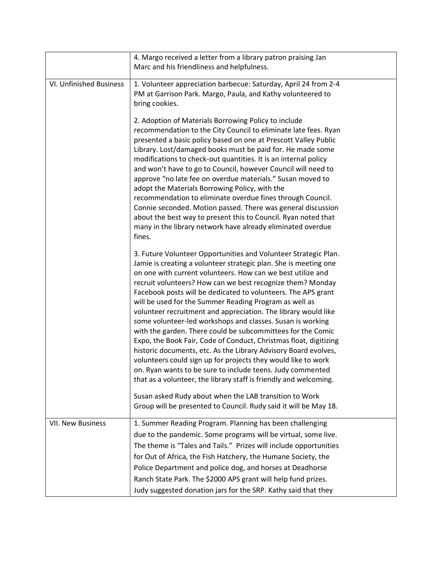|                          | 4. Margo received a letter from a library patron praising Jan                                                                                                                                                                                                                                                                                                                                                                                                                                                                                                                                                                                                                                                                                                                                                                                                                                                                                                                                                                                                                  |
|--------------------------|--------------------------------------------------------------------------------------------------------------------------------------------------------------------------------------------------------------------------------------------------------------------------------------------------------------------------------------------------------------------------------------------------------------------------------------------------------------------------------------------------------------------------------------------------------------------------------------------------------------------------------------------------------------------------------------------------------------------------------------------------------------------------------------------------------------------------------------------------------------------------------------------------------------------------------------------------------------------------------------------------------------------------------------------------------------------------------|
|                          | Marc and his friendliness and helpfulness.                                                                                                                                                                                                                                                                                                                                                                                                                                                                                                                                                                                                                                                                                                                                                                                                                                                                                                                                                                                                                                     |
| VI. Unfinished Business  | 1. Volunteer appreciation barbecue: Saturday, April 24 from 2-4<br>PM at Garrison Park. Margo, Paula, and Kathy volunteered to<br>bring cookies.<br>2. Adoption of Materials Borrowing Policy to include<br>recommendation to the City Council to eliminate late fees. Ryan<br>presented a basic policy based on one at Prescott Valley Public<br>Library. Lost/damaged books must be paid for. He made some<br>modifications to check-out quantities. It is an internal policy<br>and won't have to go to Council, however Council will need to<br>approve "no late fee on overdue materials." Susan moved to<br>adopt the Materials Borrowing Policy, with the<br>recommendation to eliminate overdue fines through Council.<br>Connie seconded. Motion passed. There was general discussion<br>about the best way to present this to Council. Ryan noted that<br>many in the library network have already eliminated overdue                                                                                                                                                |
|                          | fines.<br>3. Future Volunteer Opportunities and Volunteer Strategic Plan.<br>Jamie is creating a volunteer strategic plan. She is meeting one<br>on one with current volunteers. How can we best utilize and<br>recruit volunteers? How can we best recognize them? Monday<br>Facebook posts will be dedicated to volunteers. The APS grant<br>will be used for the Summer Reading Program as well as<br>volunteer recruitment and appreciation. The library would like<br>some volunteer-led workshops and classes. Susan is working<br>with the garden. There could be subcommittees for the Comic<br>Expo, the Book Fair, Code of Conduct, Christmas float, digitizing<br>historic documents, etc. As the Library Advisory Board evolves,<br>volunteers could sign up for projects they would like to work<br>on. Ryan wants to be sure to include teens. Judy commented<br>that as a volunteer, the library staff is friendly and welcoming.<br>Susan asked Rudy about when the LAB transition to Work<br>Group will be presented to Council. Rudy said it will be May 18. |
| <b>VII. New Business</b> | 1. Summer Reading Program. Planning has been challenging<br>due to the pandemic. Some programs will be virtual, some live.<br>The theme is "Tales and Tails." Prizes will include opportunities<br>for Out of Africa, the Fish Hatchery, the Humane Society, the<br>Police Department and police dog, and horses at Deadhorse<br>Ranch State Park. The \$2000 APS grant will help fund prizes.<br>Judy suggested donation jars for the SRP. Kathy said that they                                                                                                                                                                                                                                                                                                                                                                                                                                                                                                                                                                                                               |